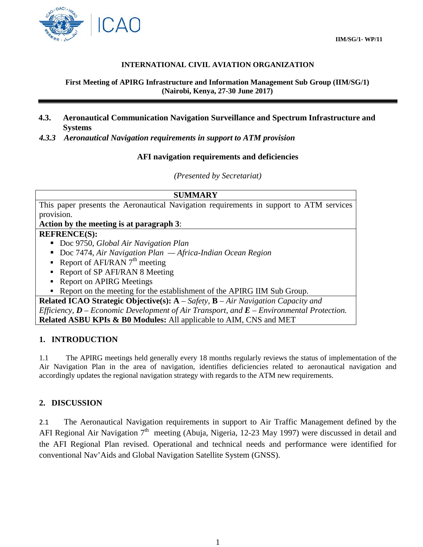

### **INTERNATIONAL CIVIL AVIATION ORGANIZATION**

**First Meeting of APIRG Infrastructure and Information Management Sub Group (IIM/SG/1) (Nairobi, Kenya, 27-30 June 2017)**

- **4.3. Aeronautical Communication Navigation Surveillance and Spectrum Infrastructure and Systems**
- *4.3.3 Aeronautical Navigation requirements in support to ATM provision*

### **AFI navigation requirements and deficiencies**

*(Presented by Secretariat)*

| <b>SUMMARY</b>                                                                               |
|----------------------------------------------------------------------------------------------|
| This paper presents the Aeronautical Navigation requirements in support to ATM services      |
| provision.                                                                                   |
| Action by the meeting is at paragraph 3:                                                     |
| <b>REFRENCE(S):</b>                                                                          |
| Doc 9750, Global Air Navigation Plan                                                         |
| Doc 7474, Air Navigation Plan - Africa-Indian Ocean Region                                   |
| Report of AFI/RAN $7^{\text{th}}$ meeting                                                    |
| • Report of SP AFI/RAN 8 Meeting                                                             |
| Report on APIRG Meetings                                                                     |
| Report on the meeting for the establishment of the APIRG IIM Sub Group.                      |
| Related ICAO Strategic Objective(s): $A - Safety$ , $B - Air\ Navigation\ Capacity\ and$     |
| Efficiency, $D$ – Economic Development of Air Transport, and $E$ – Environmental Protection. |
| <b>Related ASBU KPIs &amp; B0 Modules:</b> All applicable to AIM, CNS and MET                |

### **1. INTRODUCTION**

1.1 The APIRG meetings held generally every 18 months regularly reviews the status of implementation of the Air Navigation Plan in the area of navigation, identifies deficiencies related to aeronautical navigation and accordingly updates the regional navigation strategy with regards to the ATM new requirements.

### **2. DISCUSSION**

2.1 The Aeronautical Navigation requirements in support to Air Traffic Management defined by the AFI Regional Air Navigation  $7<sup>th</sup>$  meeting (Abuja, Nigeria, 12-23 May 1997) were discussed in detail and the AFI Regional Plan revised. Operational and technical needs and performance were identified for conventional Nav'Aids and Global Navigation Satellite System (GNSS).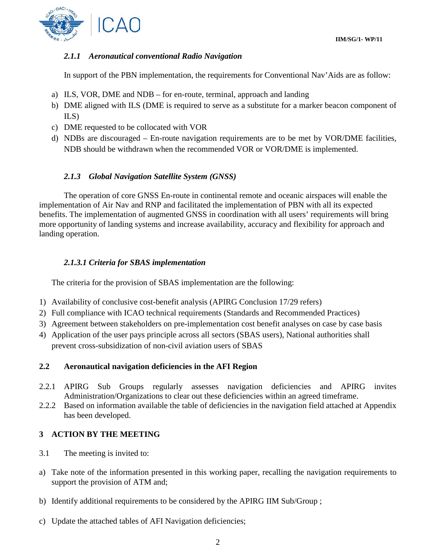

# *2.1.1 Aeronautical conventional Radio Navigation*

In support of the PBN implementation, the requirements for Conventional Nav'Aids are as follow:

- a) ILS, VOR, DME and NDB for en-route, terminal, approach and landing
- b) DME aligned with ILS (DME is required to serve as a substitute for a marker beacon component of ILS)
- c) DME requested to be collocated with VOR
- d) NDBs are discouraged En-route navigation requirements are to be met by VOR/DME facilities, NDB should be withdrawn when the recommended VOR or VOR/DME is implemented.

## *2.1.3 Global Navigation Satellite System (GNSS)*

The operation of core GNSS En-route in continental remote and oceanic airspaces will enable the implementation of Air Nav and RNP and facilitated the implementation of PBN with all its expected benefits. The implementation of augmented GNSS in coordination with all users' requirements will bring more opportunity of landing systems and increase availability, accuracy and flexibility for approach and landing operation.

## *2.1.3.1 Criteria for SBAS implementation*

The criteria for the provision of SBAS implementation are the following:

- 1) Availability of conclusive cost-benefit analysis (APIRG Conclusion 17/29 refers)
- 2) Full compliance with ICAO technical requirements (Standards and Recommended Practices)
- 3) Agreement between stakeholders on pre-implementation cost benefit analyses on case by case basis
- 4) Application of the user pays principle across all sectors (SBAS users), National authorities shall prevent cross-subsidization of non-civil aviation users of SBAS

## **2.2 Aeronautical navigation deficiencies in the AFI Region**

- 2.2.1 APIRG Sub Groups regularly assesses navigation deficiencies and APIRG invites Administration/Organizations to clear out these deficiencies within an agreed timeframe.
- 2.2.2 Based on information available the table of deficiencies in the navigation field attached at Appendix has been developed.

## **3 ACTION BY THE MEETING**

- 3.1 The meeting is invited to:
- a) Take note of the information presented in this working paper, recalling the navigation requirements to support the provision of ATM and;
- b) Identify additional requirements to be considered by the APIRG IIM Sub/Group ;
- c) Update the attached tables of AFI Navigation deficiencies;